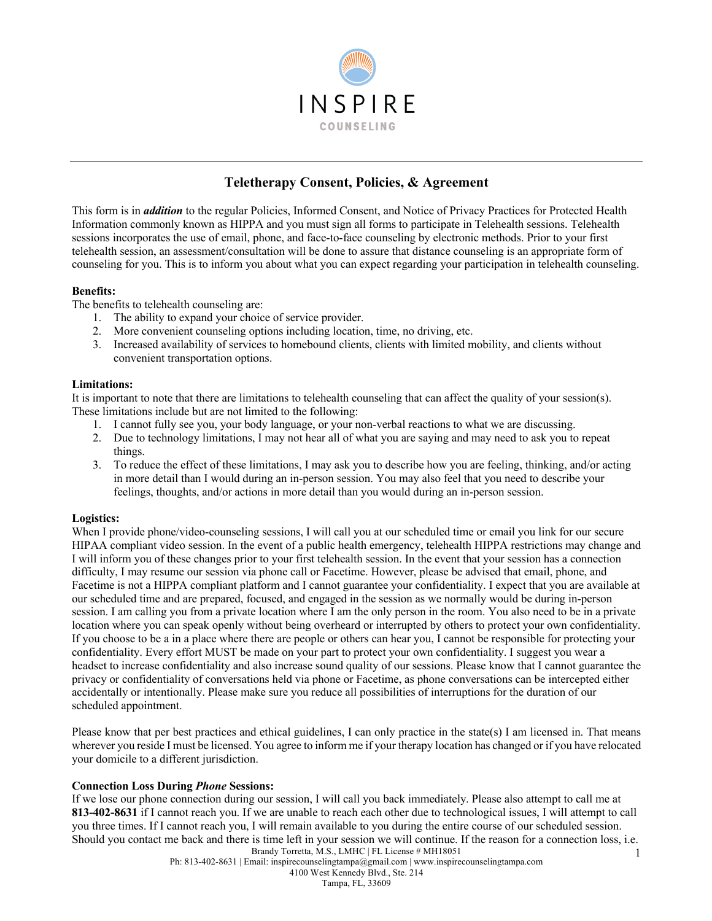

# **Teletherapy Consent, Policies, & Agreement**

This form is in *addition* to the regular Policies, Informed Consent, and Notice of Privacy Practices for Protected Health Information commonly known as HIPPA and you must sign all forms to participate in Telehealth sessions. Telehealth sessions incorporates the use of email, phone, and face-to-face counseling by electronic methods. Prior to your first telehealth session, an assessment/consultation will be done to assure that distance counseling is an appropriate form of counseling for you. This is to inform you about what you can expect regarding your participation in telehealth counseling.

## **Benefits:**

The benefits to telehealth counseling are:

- 1. The ability to expand your choice of service provider.
- 2. More convenient counseling options including location, time, no driving, etc.
- 3. Increased availability of services to homebound clients, clients with limited mobility, and clients without convenient transportation options.

## **Limitations:**

It is important to note that there are limitations to telehealth counseling that can affect the quality of your session(s). These limitations include but are not limited to the following:

- 1. I cannot fully see you, your body language, or your non-verbal reactions to what we are discussing.
- 2. Due to technology limitations, I may not hear all of what you are saying and may need to ask you to repeat things.
- 3. To reduce the effect of these limitations, I may ask you to describe how you are feeling, thinking, and/or acting in more detail than I would during an in-person session. You may also feel that you need to describe your feelings, thoughts, and/or actions in more detail than you would during an in-person session.

# **Logistics:**

When I provide phone/video-counseling sessions, I will call you at our scheduled time or email you link for our secure HIPAA compliant video session. In the event of a public health emergency, telehealth HIPPA restrictions may change and I will inform you of these changes prior to your first telehealth session. In the event that your session has a connection difficulty, I may resume our session via phone call or Facetime. However, please be advised that email, phone, and Facetime is not a HIPPA compliant platform and I cannot guarantee your confidentiality. I expect that you are available at our scheduled time and are prepared, focused, and engaged in the session as we normally would be during in-person session. I am calling you from a private location where I am the only person in the room. You also need to be in a private location where you can speak openly without being overheard or interrupted by others to protect your own confidentiality. If you choose to be a in a place where there are people or others can hear you, I cannot be responsible for protecting your confidentiality. Every effort MUST be made on your part to protect your own confidentiality. I suggest you wear a headset to increase confidentiality and also increase sound quality of our sessions. Please know that I cannot guarantee the privacy or confidentiality of conversations held via phone or Facetime, as phone conversations can be intercepted either accidentally or intentionally. Please make sure you reduce all possibilities of interruptions for the duration of our scheduled appointment.

Please know that per best practices and ethical guidelines, I can only practice in the state(s) I am licensed in. That means wherever you reside I must be licensed. You agree to inform me if your therapy location has changed or if you have relocated your domicile to a different jurisdiction.

# **Connection Loss During** *Phone* **Sessions:**

Brandy Torretta, M.S., LMHC | FL License # MH18051 1 If we lose our phone connection during our session, I will call you back immediately. Please also attempt to call me at **813-402-8631** if I cannot reach you. If we are unable to reach each other due to technological issues, I will attempt to call you three times. If I cannot reach you, I will remain available to you during the entire course of our scheduled session. Should you contact me back and there is time left in your session we will continue. If the reason for a connection loss, i.e.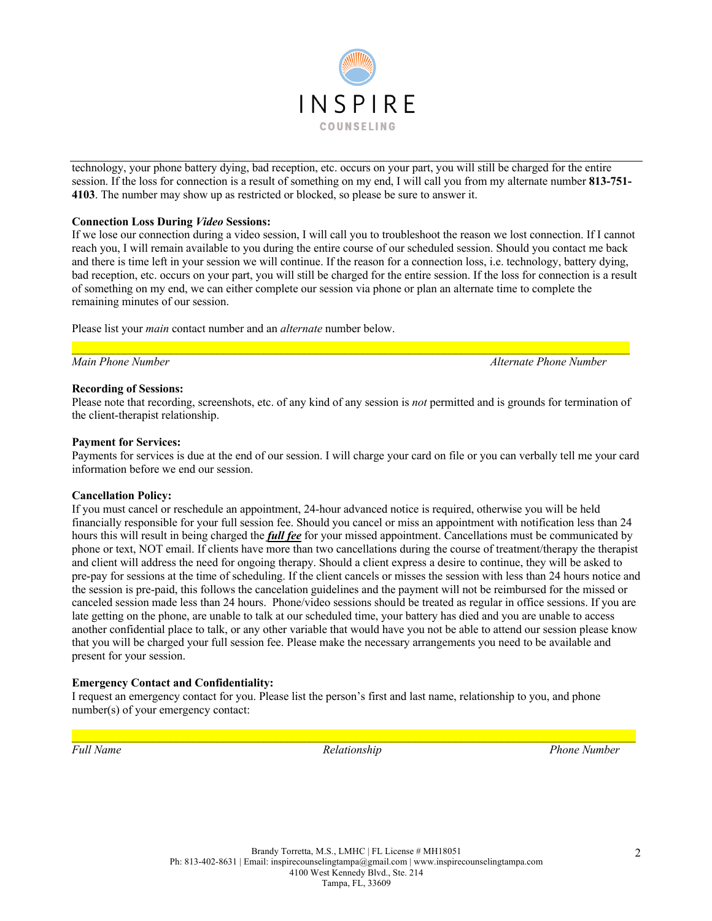

technology, your phone battery dying, bad reception, etc. occurs on your part, you will still be charged for the entire session. If the loss for connection is a result of something on my end, I will call you from my alternate number **813-751- 4103**. The number may show up as restricted or blocked, so please be sure to answer it.

## **Connection Loss During** *Video* **Sessions:**

If we lose our connection during a video session, I will call you to troubleshoot the reason we lost connection. If I cannot reach you, I will remain available to you during the entire course of our scheduled session. Should you contact me back and there is time left in your session we will continue. If the reason for a connection loss, i.e. technology, battery dying, bad reception, etc. occurs on your part, you will still be charged for the entire session. If the loss for connection is a result of something on my end, we can either complete our session via phone or plan an alternate time to complete the remaining minutes of our session.

Please list your *main* contact number and an *alternate* number below.

*Main Phone Number Alternate Phone Number*

#### **Recording of Sessions:**

Please note that recording, screenshots, etc. of any kind of any session is *not* permitted and is grounds for termination of the client-therapist relationship.

 $\mathcal{L}_\mathcal{L} = \mathcal{L}_\mathcal{L} = \mathcal{L}_\mathcal{L} = \mathcal{L}_\mathcal{L} = \mathcal{L}_\mathcal{L} = \mathcal{L}_\mathcal{L} = \mathcal{L}_\mathcal{L} = \mathcal{L}_\mathcal{L} = \mathcal{L}_\mathcal{L} = \mathcal{L}_\mathcal{L} = \mathcal{L}_\mathcal{L} = \mathcal{L}_\mathcal{L} = \mathcal{L}_\mathcal{L} = \mathcal{L}_\mathcal{L} = \mathcal{L}_\mathcal{L} = \mathcal{L}_\mathcal{L} = \mathcal{L}_\mathcal{L}$ 

#### **Payment for Services:**

Payments for services is due at the end of our session. I will charge your card on file or you can verbally tell me your card information before we end our session.

#### **Cancellation Policy:**

If you must cancel or reschedule an appointment, 24-hour advanced notice is required, otherwise you will be held financially responsible for your full session fee. Should you cancel or miss an appointment with notification less than 24 hours this will result in being charged the *full fee* for your missed appointment. Cancellations must be communicated by phone or text, NOT email. If clients have more than two cancellations during the course of treatment/therapy the therapist and client will address the need for ongoing therapy. Should a client express a desire to continue, they will be asked to pre-pay for sessions at the time of scheduling. If the client cancels or misses the session with less than 24 hours notice and the session is pre-paid, this follows the cancelation guidelines and the payment will not be reimbursed for the missed or canceled session made less than 24 hours. Phone/video sessions should be treated as regular in office sessions. If you are late getting on the phone, are unable to talk at our scheduled time, your battery has died and you are unable to access another confidential place to talk, or any other variable that would have you not be able to attend our session please know that you will be charged your full session fee. Please make the necessary arrangements you need to be available and present for your session.

# **Emergency Contact and Confidentiality:**

I request an emergency contact for you. Please list the person's first and last name, relationship to you, and phone number(s) of your emergency contact:

*Full Name Relationship Phone Number*